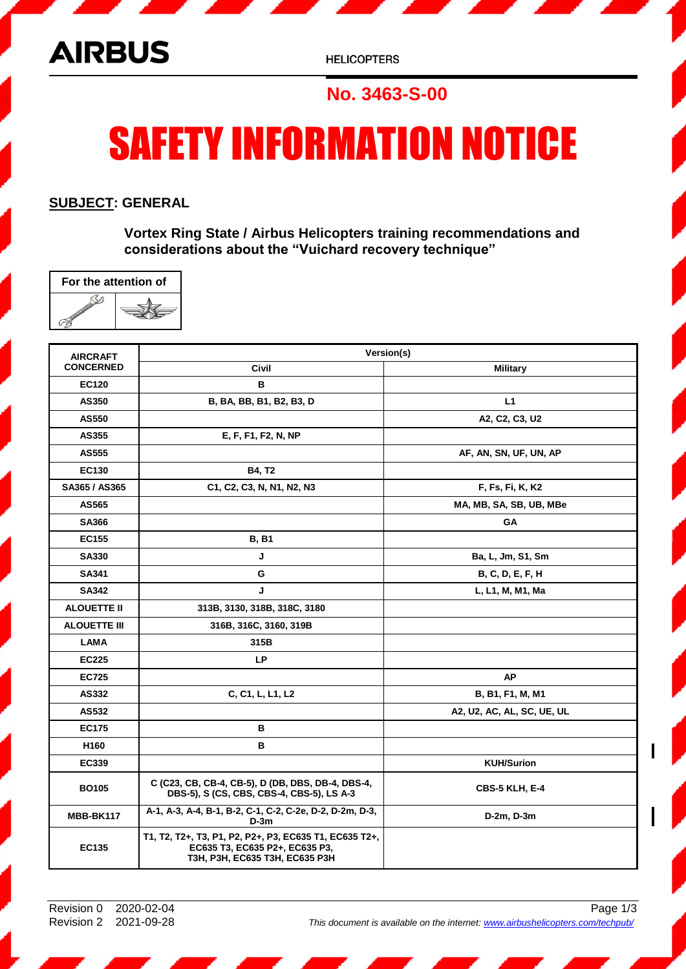

**HELICOPTERS** 

## **No. 3463-S-00**

# SAFETY INFORMATION NOTICE

#### **SUBJECT: GENERAL**

**Vortex Ring State / Airbus Helicopters training recommendations and considerations about the "Vuichard recovery technique"**

| For the attention of |  |  |
|----------------------|--|--|
|                      |  |  |

| <b>AIRCRAFT</b><br><b>CONCERNED</b> | Version(s)                                                                                                                 |                            |
|-------------------------------------|----------------------------------------------------------------------------------------------------------------------------|----------------------------|
|                                     | <b>Civil</b>                                                                                                               | <b>Military</b>            |
| <b>EC120</b>                        | В                                                                                                                          |                            |
| AS350                               | B, BA, BB, B1, B2, B3, D                                                                                                   | L1                         |
| <b>AS550</b>                        |                                                                                                                            | A2, C2, C3, U2             |
| AS355                               | E, F, F1, F2, N, NP                                                                                                        |                            |
| <b>AS555</b>                        |                                                                                                                            | AF, AN, SN, UF, UN, AP     |
| EC130                               | <b>B4, T2</b>                                                                                                              |                            |
| SA365 / AS365                       | C1, C2, C3, N, N1, N2, N3                                                                                                  | F, Fs, Fi, K, K2           |
| AS565                               |                                                                                                                            | MA, MB, SA, SB, UB, MBe    |
| <b>SA366</b>                        |                                                                                                                            | <b>GA</b>                  |
| <b>EC155</b>                        | <b>B, B1</b>                                                                                                               |                            |
| <b>SA330</b>                        | J                                                                                                                          | Ba, L, Jm, S1, Sm          |
| SA341                               | G                                                                                                                          | B, C, D, E, F, H           |
| <b>SA342</b>                        | J                                                                                                                          | L, L1, M, M1, Ma           |
| <b>ALOUETTE II</b>                  | 313B, 3130, 318B, 318C, 3180                                                                                               |                            |
| <b>ALOUETTE III</b>                 | 316B, 316C, 3160, 319B                                                                                                     |                            |
| <b>LAMA</b>                         | 315B                                                                                                                       |                            |
| <b>EC225</b>                        | <b>LP</b>                                                                                                                  |                            |
| <b>EC725</b>                        |                                                                                                                            | <b>AP</b>                  |
| AS332                               | C, C1, L, L1, L2                                                                                                           | B, B1, F1, M, M1           |
| AS532                               |                                                                                                                            | A2, U2, AC, AL, SC, UE, UL |
| <b>EC175</b>                        | в                                                                                                                          |                            |
| H <sub>160</sub>                    | в                                                                                                                          |                            |
| EC339                               |                                                                                                                            | <b>KUH/Surion</b>          |
| <b>BO105</b>                        | C (C23, CB, CB-4, CB-5), D (DB, DBS, DB-4, DBS-4,<br>DBS-5), S (CS, CBS, CBS-4, CBS-5), LS A-3                             | <b>CBS-5 KLH, E-4</b>      |
| MBB-BK117                           | A-1, A-3, A-4, B-1, B-2, C-1, C-2, C-2e, D-2, D-2m, D-3,<br>$D-3m$                                                         | D-2m, D-3m                 |
| <b>EC135</b>                        | T1, T2, T2+, T3, P1, P2, P2+, P3, EC635 T1, EC635 T2+,<br>EC635 T3, EC635 P2+, EC635 P3,<br>T3H, P3H, EC635 T3H, EC635 P3H |                            |

Revision 0 2020-02-04 Page 1/3 Revision 2 2021-09-28 *This document is available on the internet: [www.airbushelicopters.com/techpub/](https://www.airbushelicopters.com/techpub)*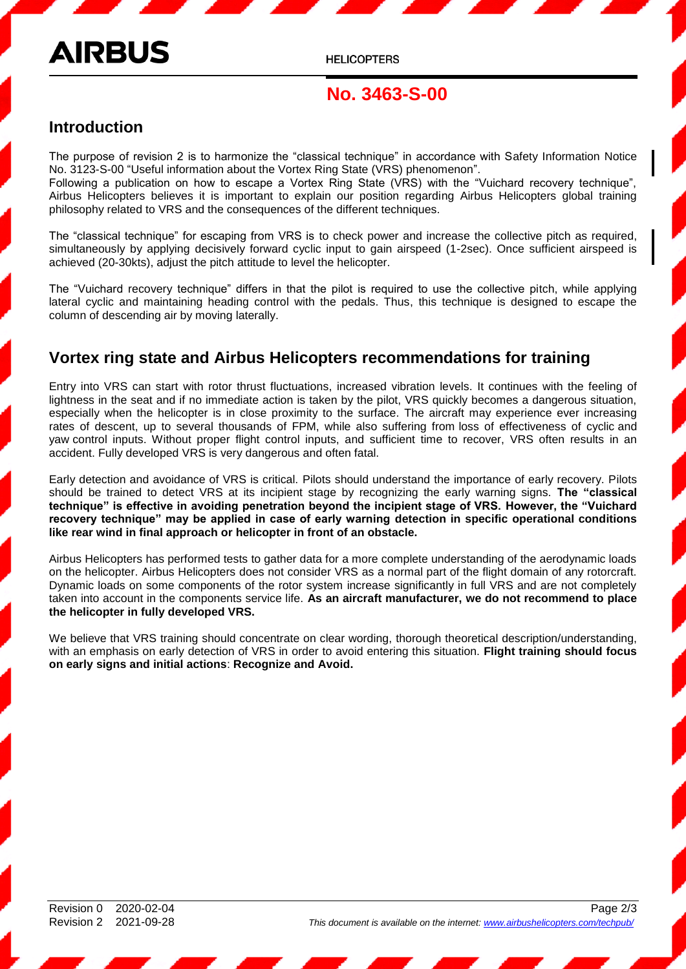# **AIRBUS**

**HELICOPTERS** 

### **No. 3463-S-00**

#### **Introduction**

The purpose of revision 2 is to harmonize the "classical technique" in accordance with Safety Information Notice No. 3123-S-00 "Useful information about the Vortex Ring State (VRS) phenomenon".

Following a publication on how to escape a Vortex Ring State (VRS) with the "Vuichard recovery technique", Airbus Helicopters believes it is important to explain our position regarding Airbus Helicopters global training philosophy related to VRS and the consequences of the different techniques.

The "classical technique" for escaping from VRS is to check power and increase the collective pitch as required, simultaneously by applying decisively forward cyclic input to gain airspeed (1-2sec). Once sufficient airspeed is achieved (20-30kts), adjust the pitch attitude to level the helicopter.

The "Vuichard recovery technique" differs in that the pilot is required to use the collective pitch, while applying lateral cyclic and maintaining heading control with the pedals. Thus, this technique is designed to escape the column of descending air by moving laterally.

#### **Vortex ring state and Airbus Helicopters recommendations for training**

Entry into VRS can start with rotor thrust fluctuations, increased vibration levels. It continues with the feeling of lightness in the seat and if no immediate action is taken by the pilot, VRS quickly becomes a dangerous situation, especially when the helicopter is in close proximity to the surface. The aircraft may experience ever increasing rates of descent, up to several thousands of FPM, while also suffering from loss of effectiveness of cyclic and yaw control inputs. Without proper flight control inputs, and sufficient time to recover, VRS often results in an accident. Fully developed VRS is very dangerous and often fatal.

Early detection and avoidance of VRS is critical. Pilots should understand the importance of early recovery. Pilots should be trained to detect VRS at its incipient stage by recognizing the early warning signs. **The "classical technique" is effective in avoiding penetration beyond the incipient stage of VRS. However, the "Vuichard recovery technique" may be applied in case of early warning detection in specific operational conditions like rear wind in final approach or helicopter in front of an obstacle.**

Airbus Helicopters has performed tests to gather data for a more complete understanding of the aerodynamic loads on the helicopter. Airbus Helicopters does not consider VRS as a normal part of the flight domain of any rotorcraft. Dynamic loads on some components of the rotor system increase significantly in full VRS and are not completely taken into account in the components service life. **As an aircraft manufacturer, we do not recommend to place the helicopter in fully developed VRS.**

We believe that VRS training should concentrate on clear wording, thorough theoretical description/understanding, with an emphasis on early detection of VRS in order to avoid entering this situation. **Flight training should focus on early signs and initial actions**: **Recognize and Avoid.**